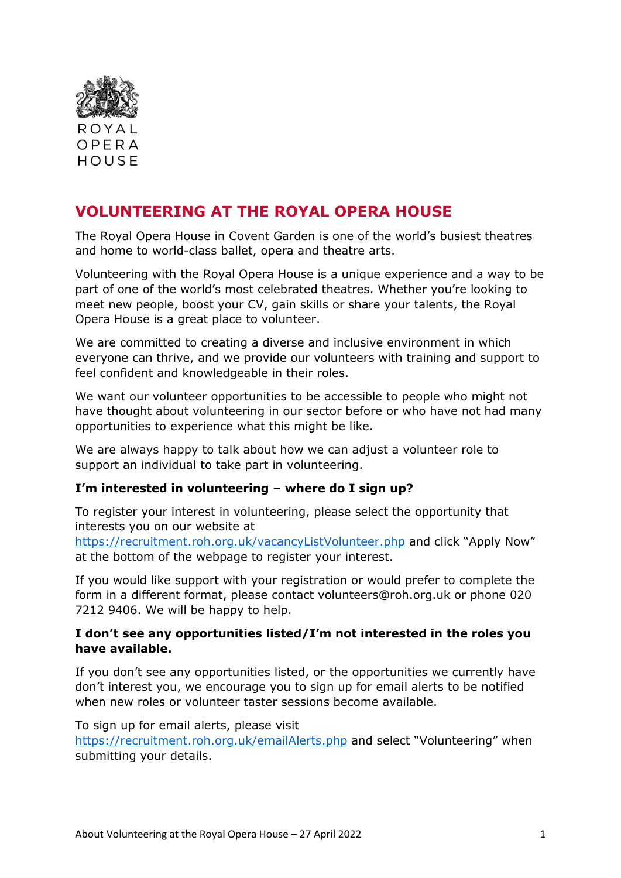

# **VOLUNTEERING AT THE ROYAL OPERA HOUSE**

The Royal Opera House in Covent Garden is one of the world's busiest theatres and home to world-class ballet, opera and theatre arts.

Volunteering with the Royal Opera House is a unique experience and a way to be part of one of the world's most celebrated theatres. Whether you're looking to meet new people, boost your CV, gain skills or share your talents, the Royal Opera House is a great place to volunteer.

We are committed to creating a diverse and inclusive environment in which everyone can thrive, and we provide our volunteers with training and support to feel confident and knowledgeable in their roles.

We want our volunteer opportunities to be accessible to people who might not have thought about volunteering in our sector before or who have not had many opportunities to experience what this might be like.

We are always happy to talk about how we can adjust a volunteer role to support an individual to take part in volunteering.

# **I'm interested in volunteering – where do I sign up?**

To register your interest in volunteering, please select the opportunity that interests you on our website at

<https://recruitment.roh.org.uk/vacancyListVolunteer.php> and click "Apply Now" at the bottom of the webpage to register your interest.

If you would like support with your registration or would prefer to complete the form in a different format, please contact volunteers@roh.org.uk or phone 020 7212 9406. We will be happy to help.

#### **I don't see any opportunities listed/I'm not interested in the roles you have available.**

If you don't see any opportunities listed, or the opportunities we currently have don't interest you, we encourage you to sign up for email alerts to be notified when new roles or volunteer taster sessions become available.

To sign up for email alerts, please visit

<https://recruitment.roh.org.uk/emailAlerts.php> and select "Volunteering" when submitting your details.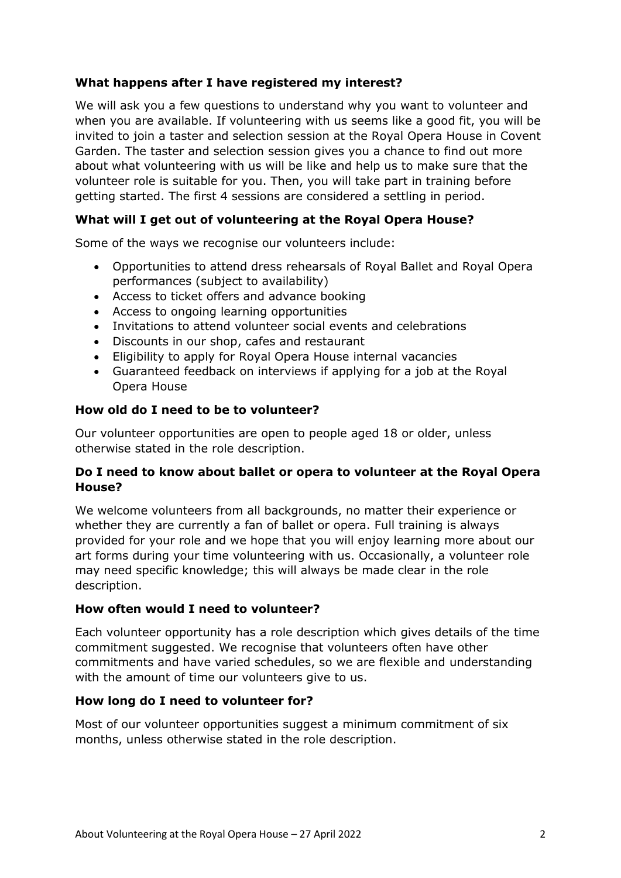# **What happens after I have registered my interest?**

We will ask you a few questions to understand why you want to volunteer and when you are available. If volunteering with us seems like a good fit, you will be invited to join a taster and selection session at the Royal Opera House in Covent Garden. The taster and selection session gives you a chance to find out more about what volunteering with us will be like and help us to make sure that the volunteer role is suitable for you. Then, you will take part in training before getting started. The first 4 sessions are considered a settling in period.

### **What will I get out of volunteering at the Royal Opera House?**

Some of the ways we recognise our volunteers include:

- Opportunities to attend dress rehearsals of Royal Ballet and Royal Opera performances (subject to availability)
- Access to ticket offers and advance booking
- Access to ongoing learning opportunities
- Invitations to attend volunteer social events and celebrations
- Discounts in our shop, cafes and restaurant
- Eligibility to apply for Royal Opera House internal vacancies
- Guaranteed feedback on interviews if applying for a job at the Royal Opera House

#### **How old do I need to be to volunteer?**

Our volunteer opportunities are open to people aged 18 or older, unless otherwise stated in the role description.

## **Do I need to know about ballet or opera to volunteer at the Royal Opera House?**

We welcome volunteers from all backgrounds, no matter their experience or whether they are currently a fan of ballet or opera. Full training is always provided for your role and we hope that you will enjoy learning more about our art forms during your time volunteering with us. Occasionally, a volunteer role may need specific knowledge; this will always be made clear in the role description.

#### **How often would I need to volunteer?**

Each volunteer opportunity has a role description which gives details of the time commitment suggested. We recognise that volunteers often have other commitments and have varied schedules, so we are flexible and understanding with the amount of time our volunteers give to us.

#### **How long do I need to volunteer for?**

Most of our volunteer opportunities suggest a minimum commitment of six months, unless otherwise stated in the role description.